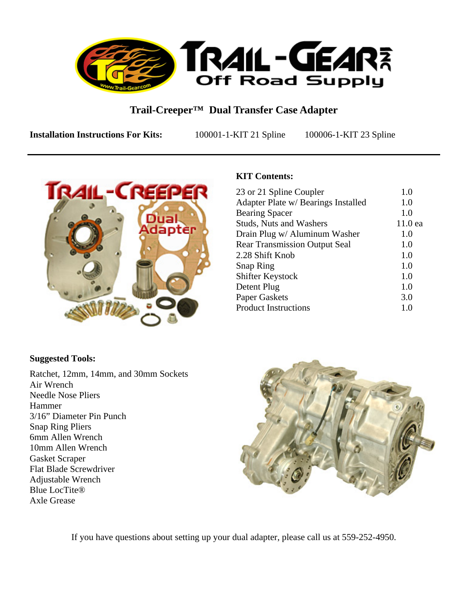

# **Trail-Creeper™ Dual Transfer Case Adapter**

**Installation Instructions For Kits:** 100001-1-KIT 21 Spline 100006-1-KIT 23 Spline



## **KIT Contents:**

| 23 or 21 Spline Coupler              | 1.0            |
|--------------------------------------|----------------|
| Adapter Plate w/ Bearings Installed  | 1.0            |
| <b>Bearing Spacer</b>                | 1.0            |
| <b>Studs, Nuts and Washers</b>       | $11.0$ ea      |
| Drain Plug w/ Aluminum Washer        | 1.0            |
| <b>Rear Transmission Output Seal</b> | 1.0            |
| 2.28 Shift Knob                      | 1.0            |
| <b>Snap Ring</b>                     | 1.0            |
| Shifter Keystock                     | 1.0            |
| Detent Plug                          | 1 <sub>0</sub> |
| <b>Paper Gaskets</b>                 | 3.0            |
| <b>Product Instructions</b>          | 1.0            |
|                                      |                |

#### **Suggested Tools:**

Ratchet, 12mm, 14mm, and 30mm Sockets Air Wrench Needle Nose Pliers Hammer 3/16" Diameter Pin Punch Snap Ring Pliers 6mm Allen Wrench 10mm Allen Wrench Gasket Scraper Flat Blade Screwdriver Adjustable Wrench Blue LocTite® Axle Grease



If you have questions about setting up your dual adapter, please call us at 559-252-4950.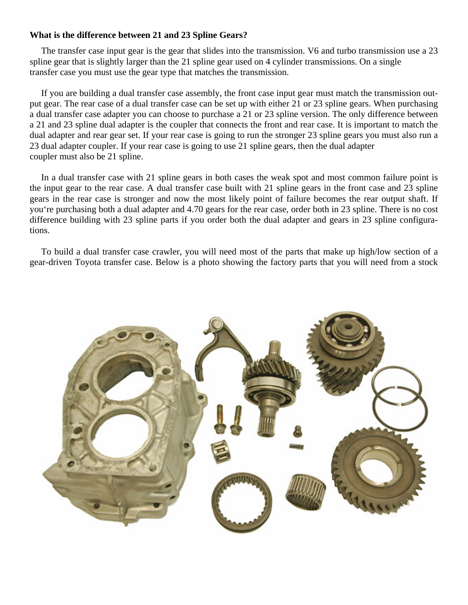#### **What is the difference between 21 and 23 Spline Gears?**

 The transfer case input gear is the gear that slides into the transmission. V6 and turbo transmission use a 23 spline gear that is slightly larger than the 21 spline gear used on 4 cylinder transmissions. On a single transfer case you must use the gear type that matches the transmission.

 If you are building a dual transfer case assembly, the front case input gear must match the transmission output gear. The rear case of a dual transfer case can be set up with either 21 or 23 spline gears. When purchasing a dual transfer case adapter you can choose to purchase a 21 or 23 spline version. The only difference between a 21 and 23 spline dual adapter is the coupler that connects the front and rear case. It is important to match the dual adapter and rear gear set. If your rear case is going to run the stronger 23 spline gears you must also run a 23 dual adapter coupler. If your rear case is going to use 21 spline gears, then the dual adapter coupler must also be 21 spline.

 In a dual transfer case with 21 spline gears in both cases the weak spot and most common failure point is the input gear to the rear case. A dual transfer case built with 21 spline gears in the front case and 23 spline gears in the rear case is stronger and now the most likely point of failure becomes the rear output shaft. If you're purchasing both a dual adapter and 4.70 gears for the rear case, order both in 23 spline. There is no cost difference building with 23 spline parts if you order both the dual adapter and gears in 23 spline configurations.

 To build a dual transfer case crawler, you will need most of the parts that make up high/low section of a gear-driven Toyota transfer case. Below is a photo showing the factory parts that you will need from a stock

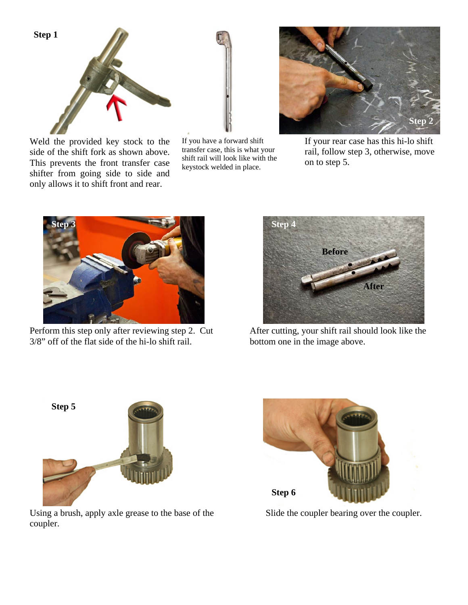

Weld the provided key stock to the side of the shift fork as shown above. This prevents the front transfer case shifter from going side to side and only allows it to shift front and rear.

If you have a forward shift transfer case, this is what your shift rail will look like with the keystock welded in place.



If your rear case has this hi-lo shift rail, follow step 3, otherwise, move on to step 5.



Perform this step only after reviewing step 2. Cut 3/8" off of the flat side of the hi-lo shift rail.



After cutting, your shift rail should look like the bottom one in the image above.



Using a brush, apply axle grease to the base of the coupler.



Slide the coupler bearing over the coupler.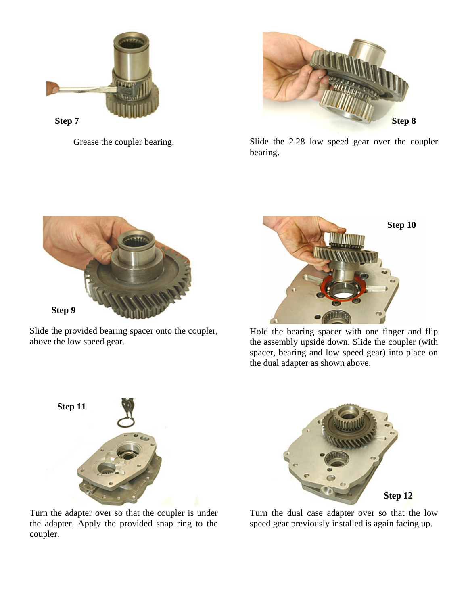



Grease the coupler bearing. Slide the 2.28 low speed gear over the coupler bearing.



Slide the provided bearing spacer onto the coupler, above the low speed gear.



Hold the bearing spacer with one finger and flip the assembly upside down. Slide the coupler (with spacer, bearing and low speed gear) into place on the dual adapter as shown above.



Turn the adapter over so that the coupler is under the adapter. Apply the provided snap ring to the coupler.



Turn the dual case adapter over so that the low speed gear previously installed is again facing up.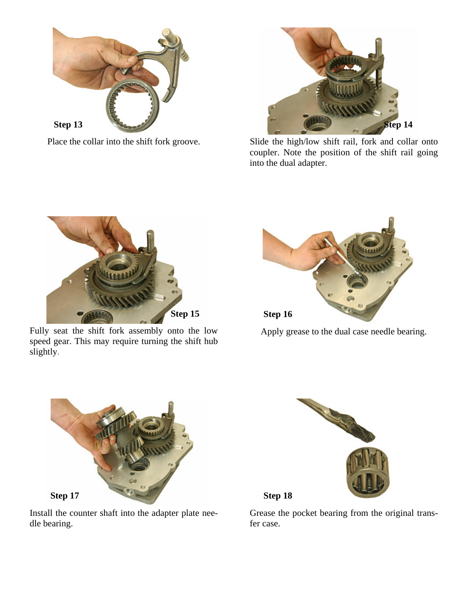



Place the collar into the shift fork groove. Slide the high/low shift rail, fork and collar onto coupler. Note the position of the shift rail going into the dual adapter.



Fully seat the shift fork assembly onto the low speed gear. This may require turning the shift hub slightly.



Apply grease to the dual case needle bearing.



Install the counter shaft into the adapter plate needle bearing.



Grease the pocket bearing from the original transfer case.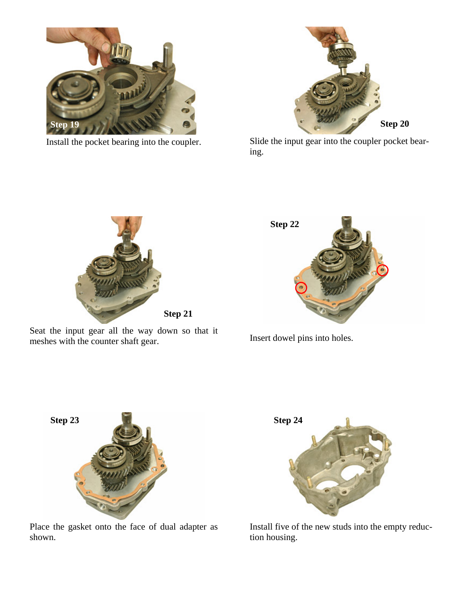

Install the pocket bearing into the coupler.



Slide the input gear into the coupler pocket bearing.



Seat the input gear all the way down so that it meshes with the counter shaft gear.



Insert dowel pins into holes.



Place the gasket onto the face of dual adapter as shown.



Install five of the new studs into the empty reduction housing.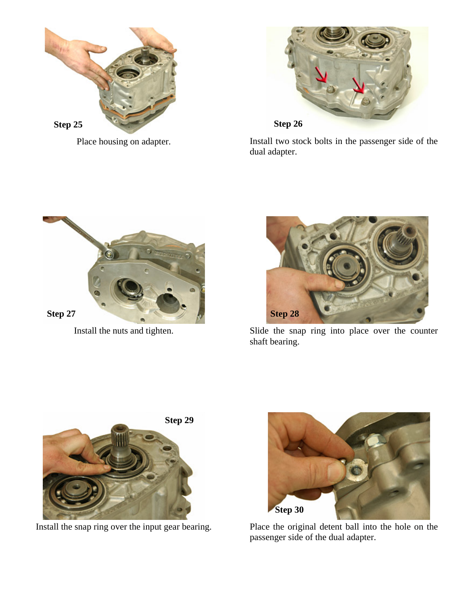

Place housing on adapter.



Install two stock bolts in the passenger side of the dual adapter.



Install the nuts and tighten.



Slide the snap ring into place over the counter shaft bearing.





Install the snap ring over the input gear bearing. Place the original detent ball into the hole on the passenger side of the dual adapter.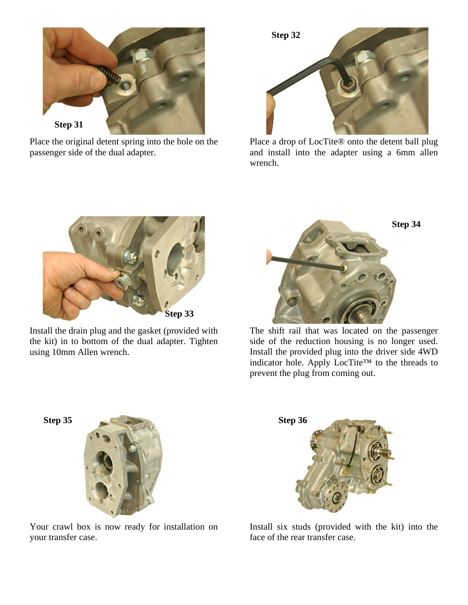

Place the original detent spring into the hole on the passenger side of the dual adapter.



Place a drop of LocTite® onto the detent ball plug and install into the adapter using a 6mm allen wrench.



Install the drain plug and the gasket (provided with the kit) in to bottom of the dual adapter. Tighten using 10mm Allen wrench.



The shift rail that was located on the passenger side of the reduction housing is no longer used. Install the provided plug into the driver side 4WD indicator hole. Apply LocTite™ to the threads to prevent the plug from coming out.



Your crawl box is now ready for installation on your transfer case.



Install six studs (provided with the kit) into the face of the rear transfer case.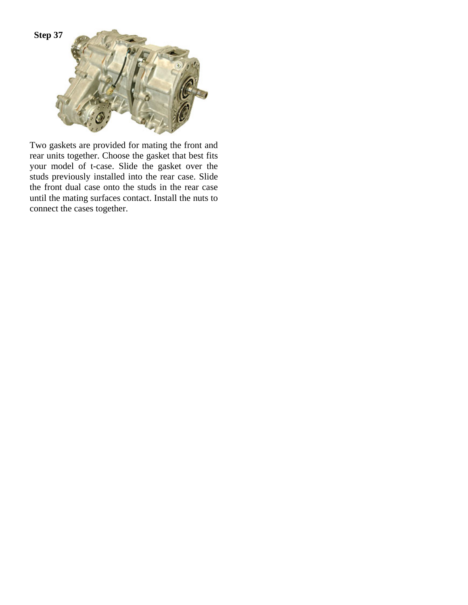

Two gaskets are provided for mating the front and rear units together. Choose the gasket that best fits your model of t-case. Slide the gasket over the studs previously installed into the rear case. Slide the front dual case onto the studs in the rear case until the mating surfaces contact. Install the nuts to connect the cases together.